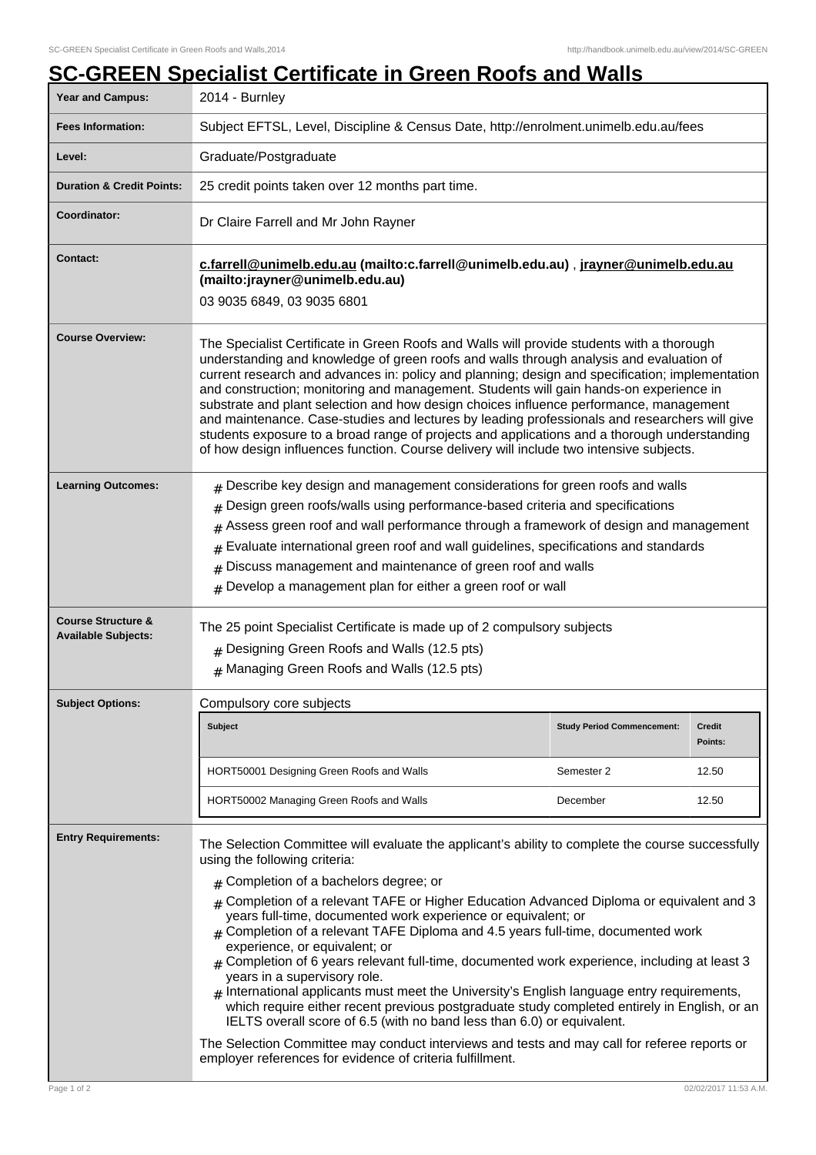## **SC-GREEN Specialist Certificate in Green Roofs and Walls**

| Year and Campus:                                            | 2014 - Burnley                                                                                                                                                                                                                                                                                                                                                                                                                                                                                                                                                                                                                                                                                                                                                                                                                                                                                                                                                                                                                                                                    |                                   |                          |
|-------------------------------------------------------------|-----------------------------------------------------------------------------------------------------------------------------------------------------------------------------------------------------------------------------------------------------------------------------------------------------------------------------------------------------------------------------------------------------------------------------------------------------------------------------------------------------------------------------------------------------------------------------------------------------------------------------------------------------------------------------------------------------------------------------------------------------------------------------------------------------------------------------------------------------------------------------------------------------------------------------------------------------------------------------------------------------------------------------------------------------------------------------------|-----------------------------------|--------------------------|
| <b>Fees Information:</b>                                    | Subject EFTSL, Level, Discipline & Census Date, http://enrolment.unimelb.edu.au/fees                                                                                                                                                                                                                                                                                                                                                                                                                                                                                                                                                                                                                                                                                                                                                                                                                                                                                                                                                                                              |                                   |                          |
| Level:                                                      | Graduate/Postgraduate                                                                                                                                                                                                                                                                                                                                                                                                                                                                                                                                                                                                                                                                                                                                                                                                                                                                                                                                                                                                                                                             |                                   |                          |
| <b>Duration &amp; Credit Points:</b>                        | 25 credit points taken over 12 months part time.                                                                                                                                                                                                                                                                                                                                                                                                                                                                                                                                                                                                                                                                                                                                                                                                                                                                                                                                                                                                                                  |                                   |                          |
| Coordinator:                                                | Dr Claire Farrell and Mr John Rayner                                                                                                                                                                                                                                                                                                                                                                                                                                                                                                                                                                                                                                                                                                                                                                                                                                                                                                                                                                                                                                              |                                   |                          |
| <b>Contact:</b>                                             | c.farrell@unimelb.edu.au (mailto:c.farrell@unimelb.edu.au), jrayner@unimelb.edu.au<br>(mailto: jrayner@unimelb.edu.au)<br>03 9035 6849, 03 9035 6801                                                                                                                                                                                                                                                                                                                                                                                                                                                                                                                                                                                                                                                                                                                                                                                                                                                                                                                              |                                   |                          |
| <b>Course Overview:</b>                                     | The Specialist Certificate in Green Roofs and Walls will provide students with a thorough<br>understanding and knowledge of green roofs and walls through analysis and evaluation of<br>current research and advances in: policy and planning; design and specification; implementation<br>and construction; monitoring and management. Students will gain hands-on experience in<br>substrate and plant selection and how design choices influence performance, management<br>and maintenance. Case-studies and lectures by leading professionals and researchers will give<br>students exposure to a broad range of projects and applications and a thorough understanding<br>of how design influences function. Course delivery will include two intensive subjects.                                                                                                                                                                                                                                                                                                           |                                   |                          |
| <b>Learning Outcomes:</b>                                   | Describe key design and management considerations for green roofs and walls<br>Design green roofs/walls using performance-based criteria and specifications<br>#<br>Assess green roof and wall performance through a framework of design and management<br>Evaluate international green roof and wall guidelines, specifications and standards<br>#<br>Discuss management and maintenance of green roof and walls<br>Develop a management plan for either a green roof or wall<br>#                                                                                                                                                                                                                                                                                                                                                                                                                                                                                                                                                                                               |                                   |                          |
| <b>Course Structure &amp;</b><br><b>Available Subjects:</b> | The 25 point Specialist Certificate is made up of 2 compulsory subjects<br># Designing Green Roofs and Walls (12.5 pts)<br># Managing Green Roofs and Walls (12.5 pts)                                                                                                                                                                                                                                                                                                                                                                                                                                                                                                                                                                                                                                                                                                                                                                                                                                                                                                            |                                   |                          |
| <b>Subject Options:</b>                                     | Compulsory core subjects                                                                                                                                                                                                                                                                                                                                                                                                                                                                                                                                                                                                                                                                                                                                                                                                                                                                                                                                                                                                                                                          |                                   |                          |
|                                                             | Subject                                                                                                                                                                                                                                                                                                                                                                                                                                                                                                                                                                                                                                                                                                                                                                                                                                                                                                                                                                                                                                                                           | <b>Study Period Commencement:</b> | <b>Credit</b><br>Points: |
|                                                             | HORT50001 Designing Green Roofs and Walls                                                                                                                                                                                                                                                                                                                                                                                                                                                                                                                                                                                                                                                                                                                                                                                                                                                                                                                                                                                                                                         | Semester 2                        | 12.50                    |
|                                                             | HORT50002 Managing Green Roofs and Walls                                                                                                                                                                                                                                                                                                                                                                                                                                                                                                                                                                                                                                                                                                                                                                                                                                                                                                                                                                                                                                          | December                          | 12.50                    |
| <b>Entry Requirements:</b><br>Page 1 of 2                   | The Selection Committee will evaluate the applicant's ability to complete the course successfully<br>using the following criteria:<br>$#$ Completion of a bachelors degree; or<br>$_{\rm #}$ Completion of a relevant TAFE or Higher Education Advanced Diploma or equivalent and 3<br>years full-time, documented work experience or equivalent; or<br>$#$ Completion of a relevant TAFE Diploma and 4.5 years full-time, documented work<br>experience, or equivalent; or<br>$#$ Completion of 6 years relevant full-time, documented work experience, including at least 3<br>years in a supervisory role.<br>$_{\#}$ International applicants must meet the University's English language entry requirements,<br>which require either recent previous postgraduate study completed entirely in English, or an<br>IELTS overall score of 6.5 (with no band less than 6.0) or equivalent.<br>The Selection Committee may conduct interviews and tests and may call for referee reports or<br>employer references for evidence of criteria fulfillment.<br>02/02/2017 11:53 A.M. |                                   |                          |